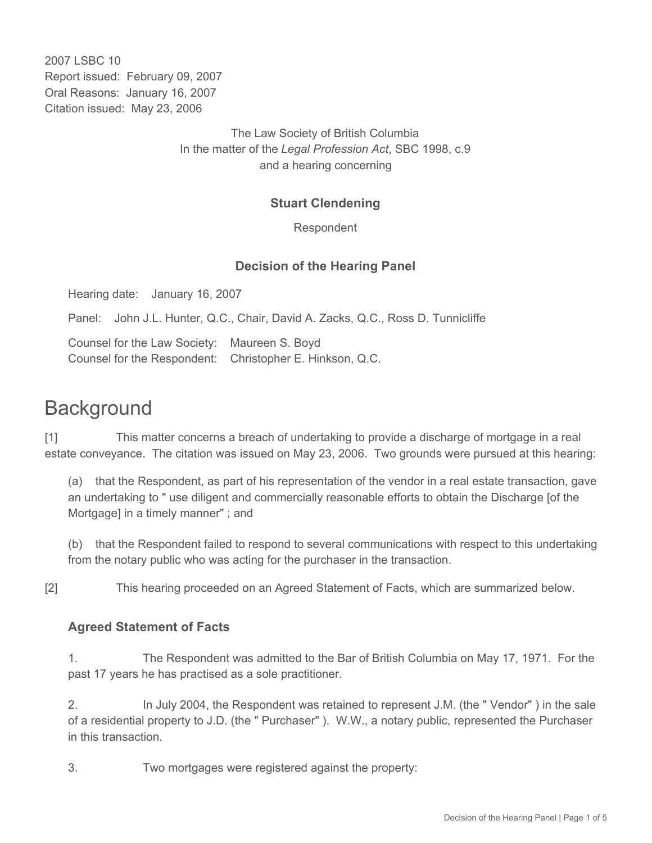2007 LSBC 10 Report issued: February 09, 2007 Oral Reasons: January 16, 2007 Citation issued: May 23, 2006

> The Law Society of British Columbia In the matter of the *Legal Profession Act*, SBC 1998, c.9 and a hearing concerning

### **Stuart Clendening**

Respondent

#### **Decision of the Hearing Panel**

Hearing date: January 16, 2007

Panel: John J.L. Hunter, Q.C., Chair, David A. Zacks, Q.C., Ross D. Tunnicliffe

Counsel for the Law Society: Maureen S. Boyd Counsel for the Respondent: Christopher E. Hinkson, Q.C.

# **Background**

[1] This matter concerns a breach of undertaking to provide a discharge of mortgage in a real estate conveyance. The citation was issued on May 23, 2006. Two grounds were pursued at this hearing:

(a) that the Respondent, as part of his representation of the vendor in a real estate transaction, gave an undertaking to " use diligent and commercially reasonable efforts to obtain the Discharge [of the Mortgage] in a timely manner" ; and

(b) that the Respondent failed to respond to several communications with respect to this undertaking from the notary public who was acting for the purchaser in the transaction.

[2] This hearing proceeded on an Agreed Statement of Facts, which are summarized below.

#### **Agreed Statement of Facts**

1. The Respondent was admitted to the Bar of British Columbia on May 17, 1971. For the past 17 years he has practised as a sole practitioner.

2. In July 2004, the Respondent was retained to represent J.M. (the " Vendor" ) in the sale of a residential property to J.D. (the " Purchaser" ). W.W., a notary public, represented the Purchaser in this transaction.

3. Two mortgages were registered against the property: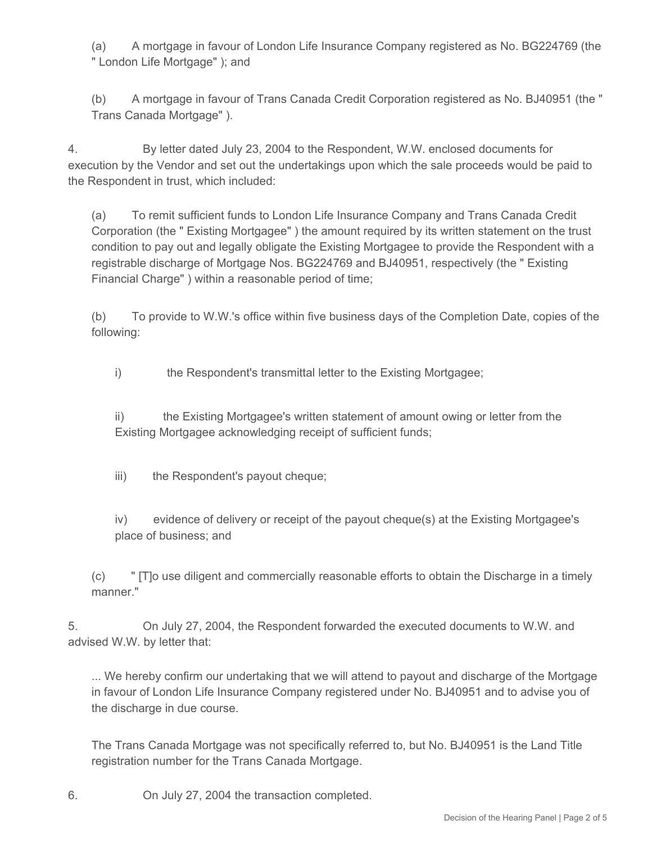(a) A mortgage in favour of London Life Insurance Company registered as No. BG224769 (the " London Life Mortgage" ); and

(b) A mortgage in favour of Trans Canada Credit Corporation registered as No. BJ40951 (the " Trans Canada Mortgage" ).

4. By letter dated July 23, 2004 to the Respondent, W.W. enclosed documents for execution by the Vendor and set out the undertakings upon which the sale proceeds would be paid to the Respondent in trust, which included:

(a) To remit sufficient funds to London Life Insurance Company and Trans Canada Credit Corporation (the " Existing Mortgagee" ) the amount required by its written statement on the trust condition to pay out and legally obligate the Existing Mortgagee to provide the Respondent with a registrable discharge of Mortgage Nos. BG224769 and BJ40951, respectively (the " Existing Financial Charge" ) within a reasonable period of time;

(b) To provide to W.W.'s office within five business days of the Completion Date, copies of the following:

i) the Respondent's transmittal letter to the Existing Mortgagee;

ii) the Existing Mortgagee's written statement of amount owing or letter from the Existing Mortgagee acknowledging receipt of sufficient funds;

iii) the Respondent's payout cheque;

iv) evidence of delivery or receipt of the payout cheque(s) at the Existing Mortgagee's place of business; and

(c) " [T]o use diligent and commercially reasonable efforts to obtain the Discharge in a timely manner."

5. On July 27, 2004, the Respondent forwarded the executed documents to W.W. and advised W.W. by letter that:

... We hereby confirm our undertaking that we will attend to payout and discharge of the Mortgage in favour of London Life Insurance Company registered under No. BJ40951 and to advise you of the discharge in due course.

The Trans Canada Mortgage was not specifically referred to, but No. BJ40951 is the Land Title registration number for the Trans Canada Mortgage.

6. On July 27, 2004 the transaction completed.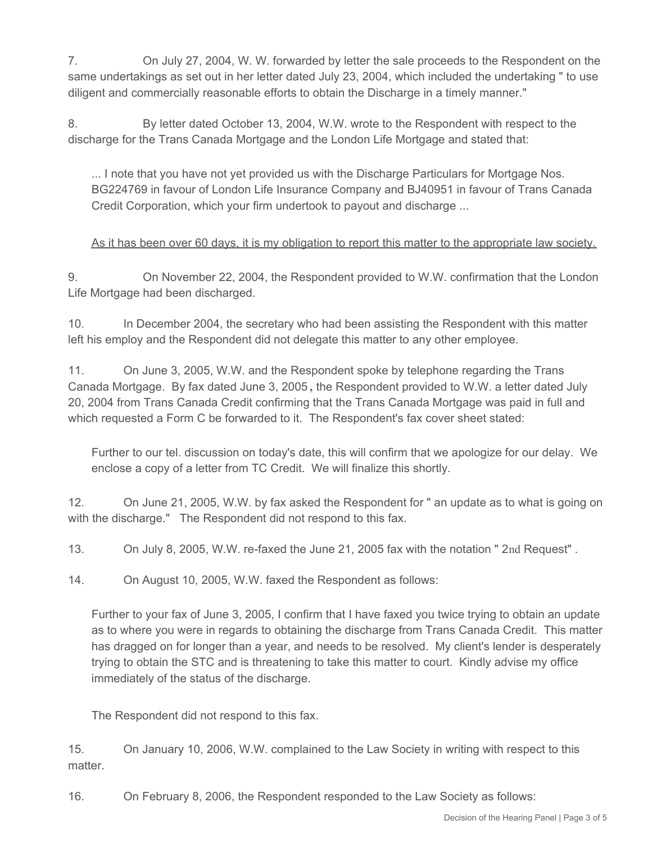7. On July 27, 2004, W. W. forwarded by letter the sale proceeds to the Respondent on the same undertakings as set out in her letter dated July 23, 2004, which included the undertaking " to use diligent and commercially reasonable efforts to obtain the Discharge in a timely manner."

8. By letter dated October 13, 2004, W.W. wrote to the Respondent with respect to the discharge for the Trans Canada Mortgage and the London Life Mortgage and stated that:

... I note that you have not yet provided us with the Discharge Particulars for Mortgage Nos. BG224769 in favour of London Life Insurance Company and BJ40951 in favour of Trans Canada Credit Corporation, which your firm undertook to payout and discharge ...

# As it has been over 60 days, it is my obligation to report this matter to the appropriate law society.

9. On November 22, 2004, the Respondent provided to W.W. confirmation that the London Life Mortgage had been discharged.

10. In December 2004, the secretary who had been assisting the Respondent with this matter left his employ and the Respondent did not delegate this matter to any other employee.

11. On June 3, 2005, W.W. and the Respondent spoke by telephone regarding the Trans Canada Mortgage. By fax dated June 3, 2005 **,** the Respondent provided to W.W. a letter dated July 20, 2004 from Trans Canada Credit confirming that the Trans Canada Mortgage was paid in full and which requested a Form C be forwarded to it. The Respondent's fax cover sheet stated:

Further to our tel. discussion on today's date, this will confirm that we apologize for our delay. We enclose a copy of a letter from TC Credit. We will finalize this shortly.

12. On June 21, 2005, W.W. by fax asked the Respondent for " an update as to what is going on with the discharge." The Respondent did not respond to this fax.

13. On July 8, 2005, W.W. re-faxed the June 21, 2005 fax with the notation " 2nd Request" .

14. On August 10, 2005, W.W. faxed the Respondent as follows:

Further to your fax of June 3, 2005, I confirm that I have faxed you twice trying to obtain an update as to where you were in regards to obtaining the discharge from Trans Canada Credit. This matter has dragged on for longer than a year, and needs to be resolved. My client's lender is desperately trying to obtain the STC and is threatening to take this matter to court. Kindly advise my office immediately of the status of the discharge.

The Respondent did not respond to this fax.

15. On January 10, 2006, W.W. complained to the Law Society in writing with respect to this matter.

16. On February 8, 2006, the Respondent responded to the Law Society as follows: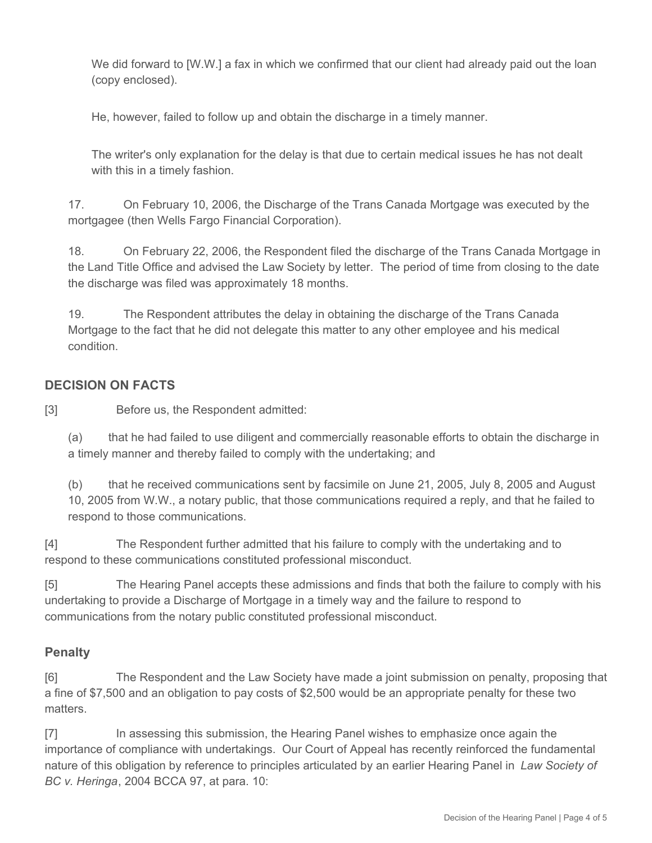We did forward to [W.W.] a fax in which we confirmed that our client had already paid out the loan (copy enclosed).

He, however, failed to follow up and obtain the discharge in a timely manner.

The writer's only explanation for the delay is that due to certain medical issues he has not dealt with this in a timely fashion.

17. On February 10, 2006, the Discharge of the Trans Canada Mortgage was executed by the mortgagee (then Wells Fargo Financial Corporation).

18. On February 22, 2006, the Respondent filed the discharge of the Trans Canada Mortgage in the Land Title Office and advised the Law Society by letter. The period of time from closing to the date the discharge was filed was approximately 18 months.

19. The Respondent attributes the delay in obtaining the discharge of the Trans Canada Mortgage to the fact that he did not delegate this matter to any other employee and his medical condition.

# **DECISION ON FACTS**

[3] Before us, the Respondent admitted:

(a) that he had failed to use diligent and commercially reasonable efforts to obtain the discharge in a timely manner and thereby failed to comply with the undertaking; and

(b) that he received communications sent by facsimile on June 21, 2005, July 8, 2005 and August 10, 2005 from W.W., a notary public, that those communications required a reply, and that he failed to respond to those communications.

[4] The Respondent further admitted that his failure to comply with the undertaking and to respond to these communications constituted professional misconduct.

[5] The Hearing Panel accepts these admissions and finds that both the failure to comply with his undertaking to provide a Discharge of Mortgage in a timely way and the failure to respond to communications from the notary public constituted professional misconduct.

# **Penalty**

[6] The Respondent and the Law Society have made a joint submission on penalty, proposing that a fine of \$7,500 and an obligation to pay costs of \$2,500 would be an appropriate penalty for these two matters.

[7] In assessing this submission, the Hearing Panel wishes to emphasize once again the importance of compliance with undertakings. Our Court of Appeal has recently reinforced the fundamental nature of this obligation by reference to principles articulated by an earlier Hearing Panel in *Law Society of BC v. Heringa*, 2004 BCCA 97, at para. 10: